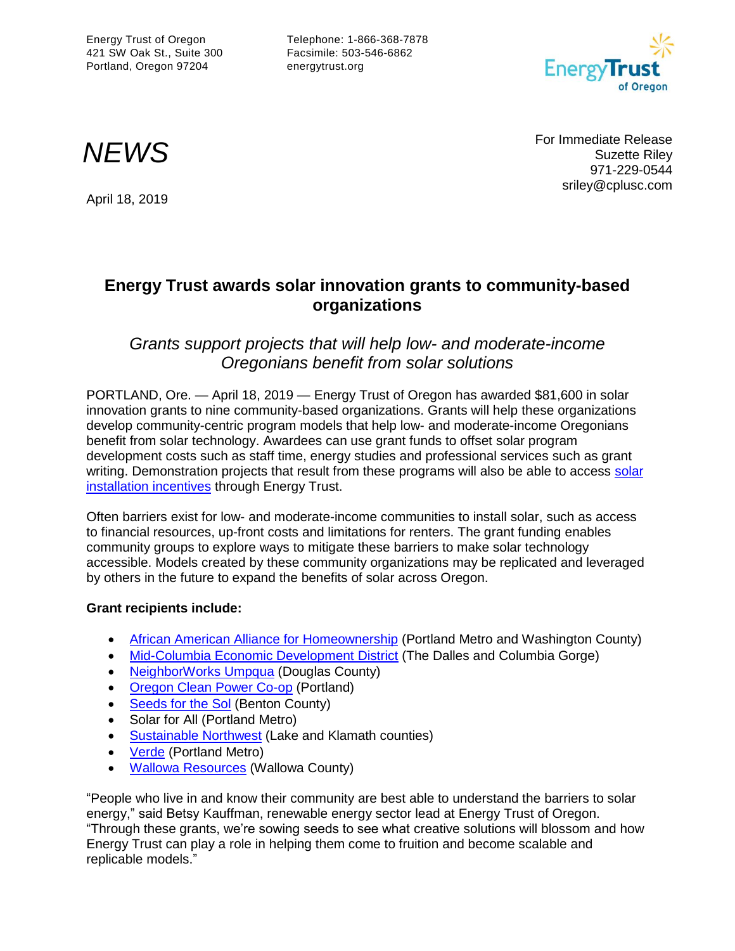Energy Trust of Oregon 421 SW Oak St., Suite 300 Portland, Oregon 97204

Telephone: 1-866-368-7878 Facsimile: 503-546-6862 energytrust.org



For Immediate Release<br>Suzette Riley<br>274.000.0544 Suzette Riley 971-229-0544 sriley@cplusc.com

# April 18, 2019

## **Energy Trust awards solar innovation grants to community-based organizations**

### *Grants support projects that will help low- and moderate-income Oregonians benefit from solar solutions*

PORTLAND, Ore. — April 18, 2019 — Energy Trust of Oregon has awarded \$81,600 in solar innovation grants to nine community-based organizations. Grants will help these organizations develop community-centric program models that help low- and moderate-income Oregonians benefit from solar technology. Awardees can use grant funds to offset solar program development costs such as staff time, energy studies and professional services such as grant writing. Demonstration projects that result from these programs will also be able to access solar [installation incentives](https://www.energytrust.org/programs/solar/) through Energy Trust.

Often barriers exist for low- and moderate-income communities to install solar, such as access to financial resources, up-front costs and limitations for renters. The grant funding enables community groups to explore ways to mitigate these barriers to make solar technology accessible. Models created by these community organizations may be replicated and leveraged by others in the future to expand the benefits of solar across Oregon.

#### **Grant recipients include:**

- [African American Alliance for Homeownership](https://www.aaah.org/) (Portland Metro and Washington County)
- [Mid-Columbia Economic Development District](https://www.mcedd.org/) (The Dalles and Columbia Gorge)
- [NeighborWorks Umpqua](https://www.nwumpqua.org/) (Douglas County)
- [Oregon Clean Power Co-op](http://oregoncleanpower.coop/) (Portland)
- [Seeds for the Sol](http://www.seedsforthesol.org/) (Benton County)
- [Solar for All](https://azureenergytrust.sharepoint.com/Programs/Renewables/solar/LMI%20Solar/LMI%20Solar%20Documents/Innovation%20Grant/Applications/09_Solar%20For%20All%20+%20BEF_Innovation%20Grant%20app.pdf) (Portland Metro)
- [Sustainable Northwest](http://www.sustainablenorthwest.org/) (Lake and Klamath counties)
- [Verde](http://www.verdenw.org/) (Portland Metro)
- [Wallowa Resources](https://www.wallowaresources.org/) (Wallowa County)

"People who live in and know their community are best able to understand the barriers to solar energy," said Betsy Kauffman, renewable energy sector lead at Energy Trust of Oregon. "Through these grants, we're sowing seeds to see what creative solutions will blossom and how Energy Trust can play a role in helping them come to fruition and become scalable and replicable models."